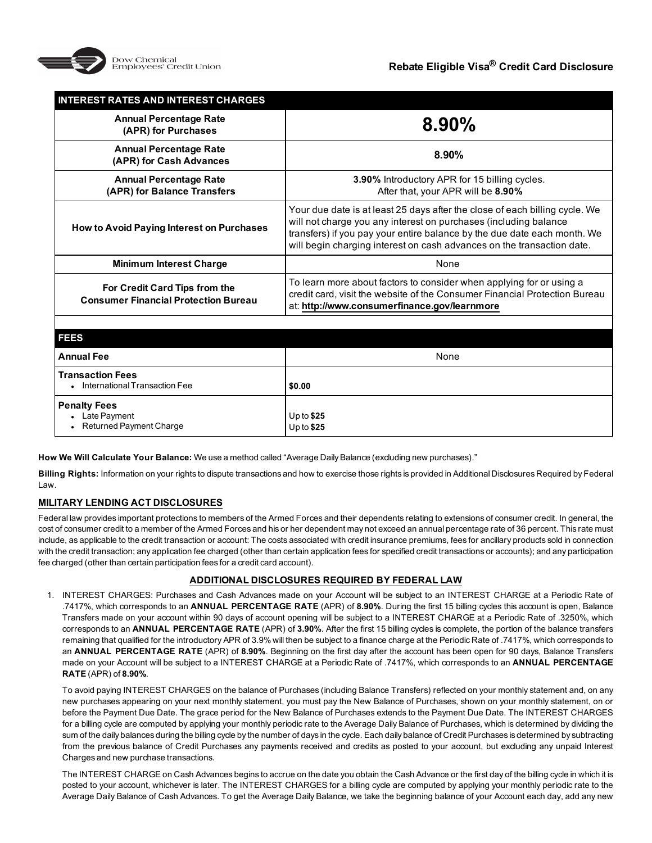

| <b>INTEREST RATES AND INTEREST CHARGES</b>                                   |                                                                                                                                                                                                                                                                                                       |
|------------------------------------------------------------------------------|-------------------------------------------------------------------------------------------------------------------------------------------------------------------------------------------------------------------------------------------------------------------------------------------------------|
| <b>Annual Percentage Rate</b><br>(APR) for Purchases                         | $8.90\%$                                                                                                                                                                                                                                                                                              |
| <b>Annual Percentage Rate</b><br>(APR) for Cash Advances                     | $8.90\%$                                                                                                                                                                                                                                                                                              |
| <b>Annual Percentage Rate</b><br>(APR) for Balance Transfers                 | 3.90% Introductory APR for 15 billing cycles.<br>After that, your APR will be 8.90%                                                                                                                                                                                                                   |
| How to Avoid Paying Interest on Purchases                                    | Your due date is at least 25 days after the close of each billing cycle. We<br>will not charge you any interest on purchases (including balance<br>transfers) if you pay your entire balance by the due date each month. We<br>will begin charging interest on cash advances on the transaction date. |
| <b>Minimum Interest Charge</b>                                               | None                                                                                                                                                                                                                                                                                                  |
| For Credit Card Tips from the<br><b>Consumer Financial Protection Bureau</b> | To learn more about factors to consider when applying for or using a<br>credit card, visit the website of the Consumer Financial Protection Bureau<br>at: http://www.consumerfinance.gov/learnmore                                                                                                    |
|                                                                              |                                                                                                                                                                                                                                                                                                       |
| <b>FEES</b>                                                                  |                                                                                                                                                                                                                                                                                                       |
| <b>Annual Fee</b>                                                            | None                                                                                                                                                                                                                                                                                                  |
| <b>Transaction Fees</b><br>International Transaction Fee                     | \$0.00                                                                                                                                                                                                                                                                                                |

**Penalty Fees** • Late Payment

**How We Will Calculate Your Balance:** We use a method called "Average Daily Balance (excluding new purchases)."

**Billing Rights:** Information on your rights to dispute transactions and how to exercise those rights is provided in Additional Disclosures Required by Federal Law.

Up to **\$25** Up to **\$25**

# **MILITARY LENDING ACT DISCLOSURES**

Returned Payment Charge

Federal law provides important protections to members of the Armed Forces and their dependents relating to extensions of consumer credit. In general, the cost of consumer credit to a member of the Armed Forces and his or her dependent may not exceed an annual percentage rate of 36 percent. This rate must include, as applicable to the credit transaction or account: The costs associated with credit insurance premiums, fees for ancillary products sold in connection with the credit transaction; any application fee charged (other than certain application fees for specified credit transactions or accounts); and any participation fee charged (other than certain participation fees for a credit card account).

# **ADDITIONAL DISCLOSURES REQUIRED BY FEDERAL LAW**

1. INTEREST CHARGES: Purchases and Cash Advances made on your Account will be subject to an INTEREST CHARGE at a Periodic Rate of .7417%, which corresponds to an **ANNUAL PERCENTAGE RATE** (APR) of **8.90%**. During the first 15 billing cycles this account is open, Balance Transfers made on your account within 90 days of account opening will be subject to a INTEREST CHARGE at a Periodic Rate of .3250%, which corresponds to an **ANNUAL PERCENTAGE RATE** (APR) of **3.90%**. After the first 15 billing cycles is complete, the portion of the balance transfers remaining that qualified for the introductory APR of 3.9% will then be subject to a finance charge at the Periodic Rate of .7417%, which corresponds to an **ANNUAL PERCENTAGE RATE** (APR) of **8.90%**. Beginning on the first day after the account has been open for 90 days, Balance Transfers made on your Account will be subject to a INTEREST CHARGE at a Periodic Rate of .7417%, which corresponds to an **ANNUAL PERCENTAGE RATE** (APR) of **8.90%**.

To avoid paying INTEREST CHARGES on the balance of Purchases (including Balance Transfers) reflected on your monthly statement and, on any new purchases appearing on your next monthly statement, you must pay the New Balance of Purchases, shown on your monthly statement, on or before the Payment Due Date. The grace period for the New Balance of Purchases extends to the Payment Due Date. The INTEREST CHARGES for a billing cycle are computed by applying your monthly periodic rate to the Average Daily Balance of Purchases, which is determined by dividing the sum of the daily balances during the billing cycle by the number of days in the cycle. Each daily balance of Credit Purchases is determined by subtracting from the previous balance of Credit Purchases any payments received and credits as posted to your account, but excluding any unpaid Interest Charges and new purchase transactions.

The INTEREST CHARGE on Cash Advances begins to accrue on the date you obtain the Cash Advance or the first day of the billing cycle in which it is posted to your account, whichever is later. The INTEREST CHARGES for a billing cycle are computed by applying your monthly periodic rate to the Average Daily Balance of Cash Advances. To get the Average Daily Balance, we take the beginning balance of your Account each day, add any new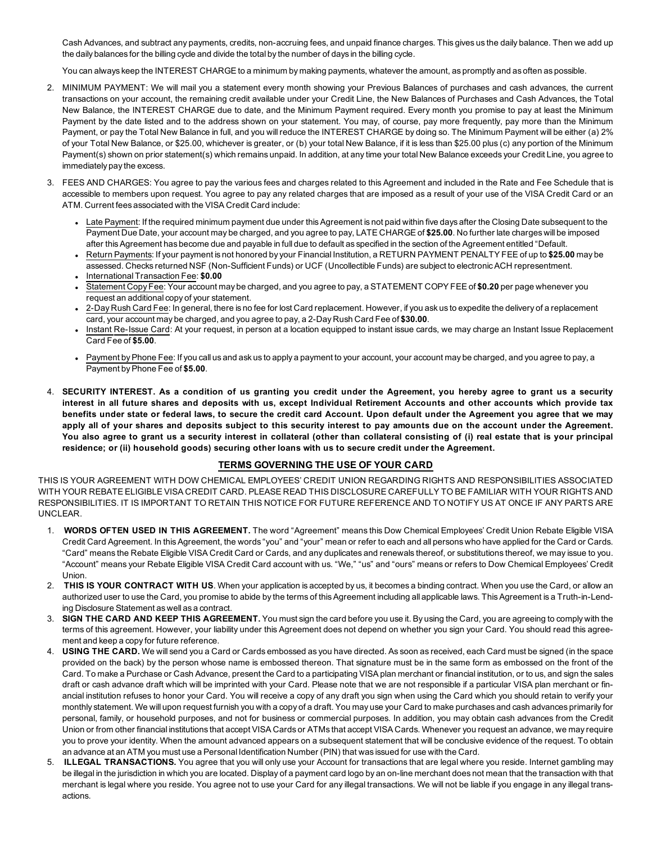Cash Advances, and subtract any payments, credits, non-accruing fees, and unpaid finance charges. This gives us the daily balance. Then we add up the daily balances for the billing cycle and divide the total by the number of days in the billing cycle.

You can always keep the INTEREST CHARGE to a minimum by making payments, whatever the amount, as promptly and as often as possible.

- 2. MINIMUM PAYMENT: We will mail you a statement every month showing your Previous Balances of purchases and cash advances, the current transactions on your account, the remaining credit available under your Credit Line, the New Balances of Purchases and Cash Advances, the Total New Balance, the INTEREST CHARGE due to date, and the Minimum Payment required. Every month you promise to pay at least the Minimum Payment by the date listed and to the address shown on your statement. You may, of course, pay more frequently, pay more than the Minimum Payment, or pay the Total New Balance in full, and you will reduce the INTEREST CHARGE by doing so. The Minimum Payment will be either (a) 2% of your Total New Balance, or \$25.00, whichever is greater, or (b) your total New Balance, if it is less than \$25.00 plus (c) any portion of the Minimum Payment(s) shown on prior statement(s) which remains unpaid. In addition, at any time your total New Balance exceeds your Credit Line, you agree to immediately pay the excess.
- 3. FEES AND CHARGES: You agree to pay the various fees and charges related to this Agreement and included in the Rate and Fee Schedule that is accessible to members upon request. You agree to pay any related charges that are imposed as a result of your use of the VISA Credit Card or an ATM. Current fees associated with the VISA Credit Card include:
	- Late Payment: If the required minimum payment due under this Agreement is not paid within five days after the Closing Date subsequent to the Payment Due Date, your account may be charged, and you agree to pay, LATE CHARGE of **\$25.00**. No further late charges will be imposed after this Agreement has become due and payable in full due to default as specified in the section of the Agreement entitled "Default.
	- <sup>l</sup> Return Payments: If your payment is not honored by your Financial Institution, a RETURN PAYMENT PENALTY FEE of up to **\$25.00** may be assessed. Checks returned NSF (Non-Sufficient Funds) or UCF (Uncollectible Funds) are subject to electronic ACH representment.
	- <sup>l</sup> InternationalTransaction Fee: **\$0.00** <sup>l</sup> Statement Copy Fee: Your account may be charged, and you agree to pay, a STATEMENT COPY FEE of **\$0.20** per page whenever you request an additional copy of your statement.
	- <sup>l</sup> 2-Day Rush Card Fee: In general, there is no fee for lost Card replacement. However, if you ask us to expedite the delivery of a replacement card, your account may be charged, and you agree to pay, a 2-Day Rush Card Fee of **\$30.00**.
	- <sup>l</sup> Instant Re-Issue Card: At your request, in person at a location equipped to instant issue cards, we may charge an Instant Issue Replacement Card Fee of **\$5.00**.
	- Payment by Phone Fee: If you call us and ask us to apply a payment to your account, your account may be charged, and you agree to pay, a Payment by Phone Fee of **\$5.00**.
- 4. **SECURITY INTEREST. As a condition of us granting you credit under the Agreement, you hereby agree to grant us a security interest in all future shares and deposits with us, except Individual Retirement Accounts and other accounts which provide tax benefits under state or federal laws, to secure the credit card Account. Upon default under the Agreement you agree that we may apply all of your shares and deposits subject to this security interest to pay amounts due on the account under the Agreement. You also agree to grant us a security interest in collateral (other than collateral consisting of (i) real estate that is your principal residence; or (ii) household goods) securing other loans with us to secure credit under the Agreement.**

# **TERMS GOVERNING THE USE OF YOUR CARD**

THIS IS YOUR AGREEMENT WITH DOW CHEMICAL EMPLOYEES' CREDIT UNION REGARDING RIGHTS AND RESPONSIBILITIES ASSOCIATED WITH YOUR REBATE ELIGIBLE VISA CREDIT CARD. PLEASE READ THIS DISCLOSURE CAREFULLY TO BE FAMILIAR WITH YOUR RIGHTS AND RESPONSIBILITIES. IT IS IMPORTANT TO RETAIN THIS NOTICE FOR FUTURE REFERENCE AND TO NOTIFY US AT ONCE IF ANY PARTS ARE UNCLEAR.

- 1. **WORDS OFTEN USED IN THIS AGREEMENT.** The word "Agreement" means this Dow Chemical Employees' Credit Union Rebate Eligible VISA Credit Card Agreement. In this Agreement, the words "you" and "your" mean or refer to each and all persons who have applied for the Card or Cards. "Card" means the Rebate Eligible VISA Credit Card or Cards, and any duplicates and renewals thereof, or substitutions thereof, we may issue to you. "Account" means your Rebate Eligible VISA Credit Card account with us. "We," "us" and "ours" means or refers to Dow Chemical Employees' Credit Union.
- 2. **THIS IS YOUR CONTRACT WITH US**. When your application is accepted by us, it becomes a binding contract. When you use the Card, or allow an authorized user to use the Card, you promise to abide by the terms of this Agreement including all applicable laws. This Agreement is a Truth-in-Lending Disclosure Statement as well as a contract.
- 3. **SIGN THE CARD AND KEEP THIS AGREEMENT.** You must sign the card before you use it. By using the Card, you are agreeing to comply with the terms of this agreement. However, your liability under this Agreement does not depend on whether you sign your Card. You should read this agreement and keep a copy for future reference.
- 4. **USING THE CARD.** We will send you a Card or Cards embossed as you have directed. As soon as received, each Card must be signed (in the space provided on the back) by the person whose name is embossed thereon. That signature must be in the same form as embossed on the front of the Card. To make a Purchase or Cash Advance, present the Card to a participating VISA plan merchant or financial institution, or to us, and sign the sales draft or cash advance draft which will be imprinted with your Card. Please note that we are not responsible if a particular VISA plan merchant or financial institution refuses to honor your Card. You will receive a copy of any draft you sign when using the Card which you should retain to verify your monthly statement. We will upon request furnish you with a copy of a draft. You may use your Card to make purchases and cash advances primarily for personal, family, or household purposes, and not for business or commercial purposes. In addition, you may obtain cash advances from the Credit Union or from other financial institutions that accept VISA Cards or ATMs that accept VISA Cards. Whenever you request an advance, we may require you to prove your identity. When the amount advanced appears on a subsequent statement that will be conclusive evidence of the request. To obtain an advance at an ATM you must use a Personal Identification Number (PIN) that was issued for use with the Card.
- 5. **ILLEGAL TRANSACTIONS.** You agree that you will only use your Account for transactions that are legal where you reside. Internet gambling may be illegal in the jurisdiction in which you are located. Display of a payment card logo by an on-line merchant does not mean that the transaction with that merchant is legal where you reside. You agree not to use your Card for any illegal transactions. We will not be liable if you engage in any illegal transactions.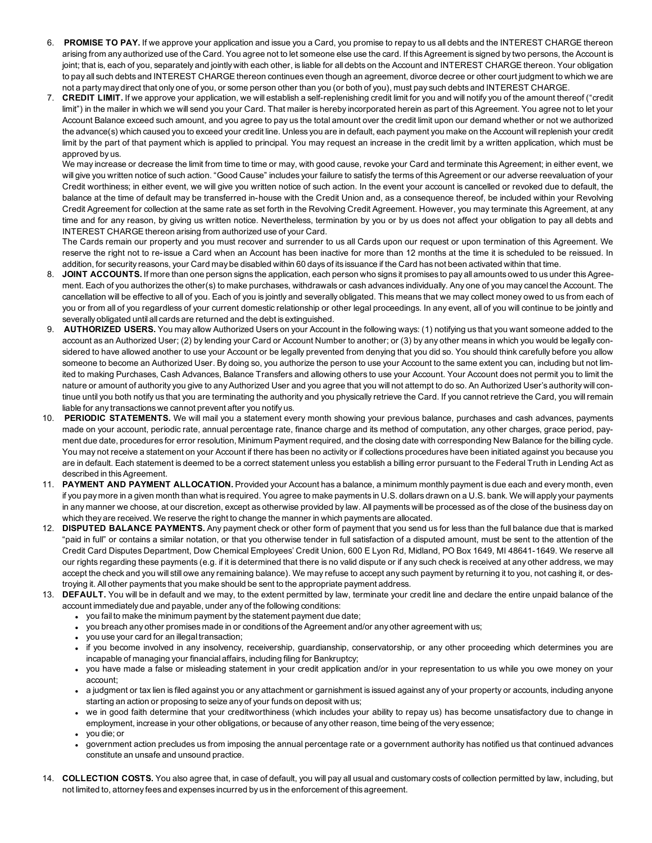- 6. **PROMISE TO PAY.** If we approve your application and issue you a Card, you promise to repay to us all debts and the INTEREST CHARGE thereon arising from any authorized use of the Card. You agree not to let someone else use the card. If this Agreement is signed by two persons, the Account is joint; that is, each of you, separately and jointly with each other, is liable for all debts on the Account and INTEREST CHARGE thereon. Your obligation to pay all such debts and INTEREST CHARGE thereon continues even though an agreement, divorce decree or other court judgment to which we are not a party may direct that only one of you, or some person other than you (or both of you), must pay such debts and INTEREST CHARGE.
- 7. **CREDIT LIMIT.** If we approve your application, we will establish a self-replenishing credit limit for you and will notify you of the amount thereof ("credit limit") in the mailer in which we will send you your Card. That mailer is hereby incorporated herein as part of this Agreement. You agree not to let your Account Balance exceed such amount, and you agree to pay us the total amount over the credit limit upon our demand whether or not we authorized the advance(s) which caused you to exceed your credit line. Unless you are in default, each payment you make on the Account will replenish your credit limit by the part of that payment which is applied to principal. You may request an increase in the credit limit by a written application, which must be approved by us.

We may increase or decrease the limit from time to time or may, with good cause, revoke your Card and terminate this Agreement; in either event, we will give you written notice of such action. "Good Cause" includes your failure to satisfy the terms of this Agreement or our adverse reevaluation of your Credit worthiness; in either event, we will give you written notice of such action. In the event your account is cancelled or revoked due to default, the balance at the time of default may be transferred in-house with the Credit Union and, as a consequence thereof, be included within your Revolving Credit Agreement for collection at the same rate as set forth in the Revolving Credit Agreement. However, you may terminate this Agreement, at any time and for any reason, by giving us written notice. Nevertheless, termination by you or by us does not affect your obligation to pay all debts and INTEREST CHARGE thereon arising from authorized use of your Card.

The Cards remain our property and you must recover and surrender to us all Cards upon our request or upon termination of this Agreement. We reserve the right not to re-issue a Card when an Account has been inactive for more than 12 months at the time it is scheduled to be reissued. In addition, for security reasons, your Card may be disabled within 60 days of its issuance if the Card has not been activated within that time.

- 8. JOINT ACCOUNTS. If more than one person signs the application, each person who signs it promises to pay all amounts owed to us under this Agreement. Each of you authorizes the other(s) to make purchases, withdrawals or cash advances individually. Any one of you may cancel the Account. The cancellation will be effective to all of you. Each of you is jointly and severally obligated. This means that we may collect money owed to us from each of you or from all of you regardless of your current domestic relationship or other legal proceedings. In any event, all of you will continue to be jointly and severally obligated until all cards are returned and the debt is extinguished.
- 9. **AUTHORIZED USERS.** You may allow Authorized Users on your Account in the following ways: (1) notifying us that you want someone added to the account as an Authorized User; (2) by lending your Card or Account Number to another; or (3) by any other means in which you would be legally considered to have allowed another to use your Account or be legally prevented from denying that you did so. You should think carefully before you allow someone to become an Authorized User. By doing so, you authorize the person to use your Account to the same extent you can, including but not limited to making Purchases, Cash Advances, Balance Transfers and allowing others to use your Account. Your Account does not permit you to limit the nature or amount of authority you give to any Authorized User and you agree that you will not attempt to do so. An Authorized User's authority will continue until you both notify us that you are terminating the authority and you physically retrieve the Card. If you cannot retrieve the Card, you will remain liable for any transactions we cannot prevent after you notify us.
- 10. **PERIODIC STATEMENTS.** We will mail you a statement every month showing your previous balance, purchases and cash advances, payments made on your account, periodic rate, annual percentage rate, finance charge and its method of computation, any other charges, grace period, payment due date, procedures for error resolution, Minimum Payment required, and the closing date with corresponding New Balance for the billing cycle. You may not receive a statement on your Account if there has been no activity or if collections procedures have been initiated against you because you are in default. Each statement is deemed to be a correct statement unless you establish a billing error pursuant to the Federal Truth in Lending Act as described in this Agreement.
- 11. **PAYMENT AND PAYMENT ALLOCATION.** Provided your Account has a balance, a minimum monthly payment is due each and every month, even if you pay more in a given month than what is required. You agree to make payments in U.S. dollars drawn on a U.S. bank. We will apply your payments in any manner we choose, at our discretion, except as otherwise provided by law. All payments will be processed as of the close of the business day on which they are received. We reserve the right to change the manner in which payments are allocated.
- 12. **DISPUTED BALANCE PAYMENTS.** Any payment check or other form of payment that you send us for less than the full balance due that is marked "paid in full" or contains a similar notation, or that you otherwise tender in full satisfaction of a disputed amount, must be sent to the attention of the Credit Card Disputes Department, Dow Chemical Employees' Credit Union, 600 E Lyon Rd, Midland, PO Box 1649, MI 48641-1649. We reserve all our rights regarding these payments (e.g. if it is determined that there is no valid dispute or if any such check is received at any other address, we may accept the check and you will still owe any remaining balance). We may refuse to accept any such payment by returning it to you, not cashing it, or destroying it. All other payments that you make should be sent to the appropriate payment address.
- 13. **DEFAULT.** You will be in default and we may, to the extent permitted by law, terminate your credit line and declare the entire unpaid balance of the account immediately due and payable, under any of the following conditions:
	- you fail to make the minimum payment by the statement payment due date;
	- you breach any other promises made in or conditions of the Agreement and/or any other agreement with us;
	- you use your card for an illegal transaction;
	- <sup>l</sup> if you become involved in any insolvency, receivership, guardianship, conservatorship, or any other proceeding which determines you are incapable of managing your financial affairs, including filing for Bankruptcy;
	- you have made a false or misleading statement in your credit application and/or in your representation to us while you owe money on your account;
	- a judgment or tax lien is filed against you or any attachment or garnishment is issued against any of your property or accounts, including anyone starting an action or proposing to seize any of your funds on deposit with us;
	- we in good faith determine that your creditworthiness (which includes your ability to repay us) has become unsatisfactory due to change in employment, increase in your other obligations, or because of any other reason, time being of the very essence;
	- $vol$  you die; or
	- <sup>l</sup> government action precludes us from imposing the annual percentage rate or a government authority has notified us that continued advances constitute an unsafe and unsound practice.
- 14. **COLLECTION COSTS.** You also agree that, in case of default, you will pay all usual and customary costs of collection permitted by law, including, but not limited to, attorney fees and expenses incurred by us in the enforcement of this agreement.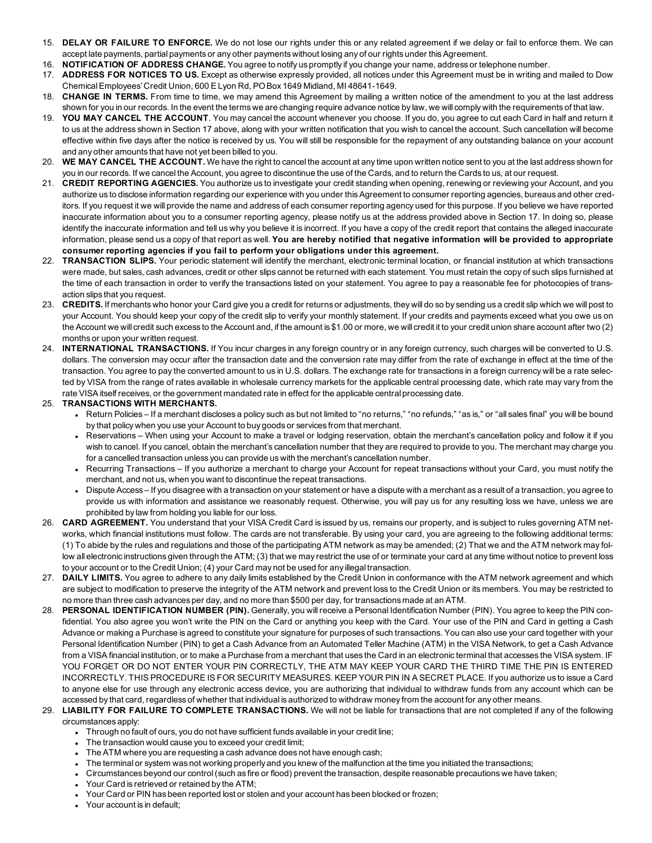- 15. **DELAY OR FAILURE TO ENFORCE.** We do not lose our rights under this or any related agreement if we delay or fail to enforce them. We can accept late payments, partial payments or any other payments without losing any of our rights under this Agreement.
- 16. **NOTIFICATION OF ADDRESS CHANGE.** You agree to notify us promptly if you change your name, address or telephone number.
- 17. **ADDRESS FOR NOTICES TO US.** Except as otherwise expressly provided, all notices under this Agreement must be in writing and mailed to Dow Chemical Employees' Credit Union, 600 E Lyon Rd, PO Box 1649 Midland, MI 48641-1649.
- 18. **CHANGE IN TERMS.** From time to time, we may amend this Agreement by mailing a written notice of the amendment to you at the last address shown for you in our records. In the event the terms we are changing require advance notice by law, we will comply with the requirements of that law.
- 19. **YOU MAY CANCEL THE ACCOUNT**. You may cancel the account whenever you choose. If you do, you agree to cut each Card in half and return it to us at the address shown in Section 17 above, along with your written notification that you wish to cancel the account. Such cancellation will become effective within five days after the notice is received by us. You will still be responsible for the repayment of any outstanding balance on your account and any other amounts that have not yet been billed to you.
- 20. **WE MAY CANCEL THE ACCOUNT.** We have the right to cancel the account at any time upon written notice sent to you at the last address shown for you in our records. If we cancel the Account, you agree to discontinue the use of the Cards, and to return the Cards to us, at our request.
- 21. **CREDIT REPORTING AGENCIES.** You authorize us to investigate your credit standing when opening, renewing or reviewing your Account, and you authorize us to disclose information regarding our experience with you under this Agreement to consumer reporting agencies, bureaus and other creditors. If you request it we will provide the name and address of each consumer reporting agency used for this purpose. If you believe we have reported inaccurate information about you to a consumer reporting agency, please notify us at the address provided above in Section 17. In doing so, please identify the inaccurate information and tell us why you believe it is incorrect. If you have a copy of the credit report that contains the alleged inaccurate information, please send us a copy of that report as well. **You are hereby notified that negative information will be provided to appropriate consumer reporting agencies if you fail to perform your obligations under this agreement.**
- 22. **TRANSACTION SLIPS.** Your periodic statement will identify the merchant, electronic terminal location, or financial institution at which transactions were made, but sales, cash advances, credit or other slips cannot be returned with each statement. You must retain the copy of such slips furnished at the time of each transaction in order to verify the transactions listed on your statement. You agree to pay a reasonable fee for photocopies of transaction slips that you request.
- 23. **CREDITS.** If merchants who honor your Card give you a credit for returns or adjustments, they will do so by sending us a credit slip which we will post to your Account. You should keep your copy of the credit slip to verify your monthly statement. If your credits and payments exceed what you owe us on the Account we will credit such excess to the Account and, if the amount is \$1.00 or more, we will credit it to your credit union share account after two (2) months or upon your written request.
- 24. **INTERNATIONAL TRANSACTIONS.** If You incur charges in any foreign country or in any foreign currency, such charges will be converted to U.S. dollars. The conversion may occur after the transaction date and the conversion rate may differ from the rate of exchange in effect at the time of the transaction. You agree to pay the converted amount to us in U.S. dollars. The exchange rate for transactions in a foreign currency will be a rate selected by VISA from the range of rates available in wholesale currency markets for the applicable central processing date, which rate may vary from the rate VISA itself receives, or the government mandated rate in effect for the applicable central processing date.

### 25. **TRANSACTIONS WITH MERCHANTS.**

- Return Policies If a merchant discloses a policy such as but not limited to "no returns," "no refunds," "as is," or "all sales final" you will be bound by that policy when you use your Account to buy goods or services from that merchant.
- Reservations When using your Account to make a travel or lodging reservation, obtain the merchant's cancellation policy and follow it if you wish to cancel. If you cancel, obtain the merchant's cancellation number that they are required to provide to you. The merchant may charge you for a cancelled transaction unless you can provide us with the merchant's cancellation number.
- Recurring Transactions If you authorize a merchant to charge your Account for repeat transactions without your Card, you must notify the merchant, and not us, when you want to discontinue the repeat transactions.
- Dispute Access If you disagree with a transaction on your statement or have a dispute with a merchant as a result of a transaction, you agree to provide us with information and assistance we reasonably request. Otherwise, you will pay us for any resulting loss we have, unless we are prohibited by law from holding you liable for our loss.
- 26. **CARD AGREEMENT.** You understand that your VISA Credit Card is issued by us, remains our property, and is subject to rules governing ATM networks, which financial institutions must follow. The cards are not transferable. By using your card, you are agreeing to the following additional terms: (1) To abide by the rules and regulations and those of the participating ATM network as may be amended; (2) That we and the ATM network may follow all electronic instructions given through the ATM; (3) that we may restrict the use of or terminate your card at any time without notice to prevent loss to your account or to the Credit Union; (4) your Card may not be used for any illegal transaction.
- 27. **DAILY LIMITS.** You agree to adhere to any daily limits established by the Credit Union in conformance with the ATM network agreement and which are subject to modification to preserve the integrity of the ATM network and prevent loss to the Credit Union or its members. You may be restricted to no more than three cash advances per day, and no more than \$500 per day, for transactions made at an ATM.
- 28. **PERSONAL IDENTIFICATION NUMBER (PIN).** Generally, you will receive a Personal Identification Number (PIN). You agree to keep the PIN confidential. You also agree you won't write the PIN on the Card or anything you keep with the Card. Your use of the PIN and Card in getting a Cash Advance or making a Purchase is agreed to constitute your signature for purposes of such transactions. You can also use your card together with your Personal Identification Number (PIN) to get a Cash Advance from an Automated Teller Machine (ATM) in the VISA Network, to get a Cash Advance from a VISA financial institution, or to make a Purchase from a merchant that uses the Card in an electronic terminal that accesses the VISA system. IF YOU FORGET OR DO NOT ENTER YOUR PIN CORRECTLY, THE ATM MAY KEEP YOUR CARD THE THIRD TIME THE PIN IS ENTERED INCORRECTLY. THIS PROCEDURE IS FOR SECURITY MEASURES. KEEP YOUR PIN IN A SECRET PLACE. If you authorize us to issue a Card to anyone else for use through any electronic access device, you are authorizing that individual to withdraw funds from any account which can be accessed by that card, regardless of whether that individual is authorized to withdraw money from the account for any other means.
- 29. **LIABILITY FOR FAILURE TO COMPLETE TRANSACTIONS.** We will not be liable for transactions that are not completed if any of the following circumstances apply:
	- Through no fault of ours, you do not have sufficient funds available in your credit line;
	- The transaction would cause you to exceed your credit limit;
	- The ATM where you are requesting a cash advance does not have enough cash;
	- <sup>l</sup> The terminal or system was not working properly and you knew of the malfunction at the time you initiated the transactions;
	- <sup>l</sup> Circumstances beyond our control (such as fire or flood) prevent the transaction, despite reasonable precautions we have taken;
	- Your Card is retrieved or retained by the ATM;
	- <sup>l</sup> Your Card or PIN has been reported lost or stolen and your account has been blocked or frozen;
	- Your account is in default;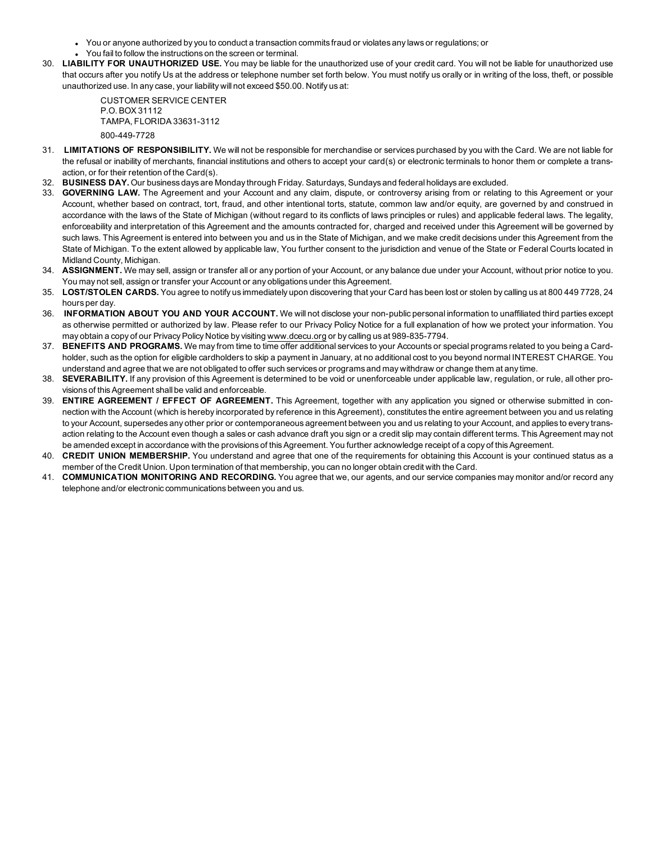- <sup>l</sup> You or anyone authorized by you to conduct a transaction commits fraud or violates any laws or regulations; or
- You fail to follow the instructions on the screen or terminal.
- 30. **LIABILITY FOR UNAUTHORIZED USE.** You may be liable for the unauthorized use of your credit card. You will not be liable for unauthorized use that occurs after you notify Us at the address or telephone number set forth below. You must notify us orally or in writing of the loss, theft, or possible unauthorized use. In any case, your liability will not exceed \$50.00. Notify us at:

CUSTOMER SERVICE CENTER P.O. BOX 31112 TAMPA, FLORIDA 33631-3112 800-449-7728

- 31. **LIMITATIONS OF RESPONSIBILITY.** We will not be responsible for merchandise or services purchased by you with the Card. We are not liable for the refusal or inability of merchants, financial institutions and others to accept your card(s) or electronic terminals to honor them or complete a transaction, or for their retention of the Card(s).
- 32. **BUSINESS DAY.** Our business days are Monday through Friday. Saturdays, Sundays and federal holidays are excluded.
- 33. **GOVERNING LAW.** The Agreement and your Account and any claim, dispute, or controversy arising from or relating to this Agreement or your Account, whether based on contract, tort, fraud, and other intentional torts, statute, common law and/or equity, are governed by and construed in accordance with the laws of the State of Michigan (without regard to its conflicts of laws principles or rules) and applicable federal laws. The legality, enforceability and interpretation of this Agreement and the amounts contracted for, charged and received under this Agreement will be governed by such laws. This Agreement is entered into between you and us in the State of Michigan, and we make credit decisions under this Agreement from the State of Michigan. To the extent allowed by applicable law, You further consent to the jurisdiction and venue of the State or Federal Courts located in Midland County, Michigan.
- 34. **ASSIGNMENT.** We may sell, assign or transfer all or any portion of your Account, or any balance due under your Account, without prior notice to you. You may not sell, assign or transfer your Account or any obligations under this Agreement.
- 35. **LOST/STOLEN CARDS.** You agree to notify us immediately upon discovering that your Card has been lost or stolen by calling us at 800 449 7728, 24 hours per day.
- 36. **INFORMATION ABOUT YOU AND YOUR ACCOUNT.** We will not disclose your non-public personal information to unaffiliated third parties except as otherwise permitted or authorized by law. Please refer to our Privacy Policy Notice for a full explanation of how we protect your information. You may obtain a copy of our Privacy Policy Notice by visiting [www.dcecu.org](http://www.dcecu.org/) or by calling us at 989-835-7794.
- 37. **BENEFITS AND PROGRAMS.** We may from time to time offer additional services to your Accounts or special programs related to you being a Cardholder, such as the option for eligible cardholders to skip a payment in January, at no additional cost to you beyond normal INTEREST CHARGE. You understand and agree that we are not obligated to offer such services or programs and may withdraw or change them at any time.
- 38. **SEVERABILITY.** If any provision of this Agreement is determined to be void or unenforceable under applicable law, regulation, or rule, all other provisions of this Agreement shall be valid and enforceable.
- 39. **ENTIRE AGREEMENT / EFFECT OF AGREEMENT.** This Agreement, together with any application you signed or otherwise submitted in connection with the Account (which is hereby incorporated by reference in this Agreement), constitutes the entire agreement between you and us relating to your Account, supersedes any other prior or contemporaneous agreement between you and us relating to your Account, and applies to every transaction relating to the Account even though a sales or cash advance draft you sign or a credit slip may contain different terms. This Agreement may not be amended except in accordance with the provisions of this Agreement. You further acknowledge receipt of a copy of this Agreement.
- 40. **CREDIT UNION MEMBERSHIP.** You understand and agree that one of the requirements for obtaining this Account is your continued status as a member of the Credit Union. Upon termination of that membership, you can no longer obtain credit with the Card.
- 41. **COMMUNICATION MONITORING AND RECORDING.** You agree that we, our agents, and our service companies may monitor and/or record any telephone and/or electronic communications between you and us.